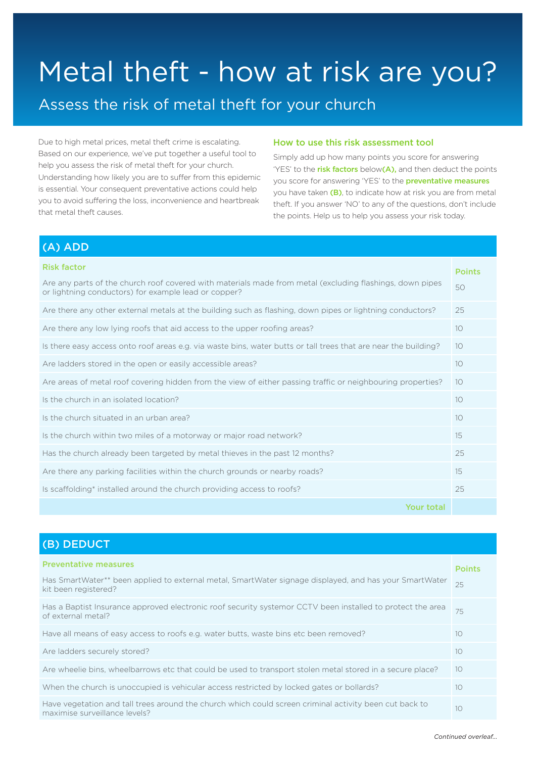# Metal theft - how at risk are you?

## Assess the risk of metal theft for your church

Due to high metal prices, metal theft crime is escalating. Based on our experience, we've put together a useful tool to help you assess the risk of metal theft for your church. Understanding how likely you are to suffer from this epidemic is essential. Your consequent preventative actions could help you to avoid suffering the loss, inconvenience and heartbreak that metal theft causes.

#### How to use this risk assessment tool

Simply add up how many points you score for answering 'YES' to the risk factors below(A), and then deduct the points you score for answering 'YES' to the **preventative measures** you have taken (B), to indicate how at risk you are from metal theft. If you answer 'NO' to any of the questions, don't include the points. Help us to help you assess your risk today.

| <b>Risk factor</b><br>Are any parts of the church roof covered with materials made from metal (excluding flashings, down pipes<br>or lightning conductors) for example lead or copper? | <b>Points</b><br>50 |
|----------------------------------------------------------------------------------------------------------------------------------------------------------------------------------------|---------------------|
| Are there any other external metals at the building such as flashing, down pipes or lightning conductors?                                                                              | 25                  |
| Are there any low lying roofs that aid access to the upper roofing areas?                                                                                                              | 10                  |
| Is there easy access onto roof areas e.g. via waste bins, water butts or tall trees that are near the building?                                                                        | 10 <sup>°</sup>     |
| Are ladders stored in the open or easily accessible areas?                                                                                                                             | 10                  |
| Are areas of metal roof covering hidden from the view of either passing traffic or neighbouring properties?                                                                            | 10                  |
| Is the church in an isolated location?                                                                                                                                                 | 10                  |
| Is the church situated in an urban area?                                                                                                                                               | 10 <sup>°</sup>     |
| Is the church within two miles of a motorway or major road network?                                                                                                                    | 15                  |
| Has the church already been targeted by metal thieves in the past 12 months?                                                                                                           | 25                  |
| Are there any parking facilities within the church grounds or nearby roads?                                                                                                            | 15                  |
| Is scaffolding <sup>*</sup> installed around the church providing access to roofs?                                                                                                     | 25                  |
| Your total                                                                                                                                                                             |                     |

### (B) DEDUCT

(A) ADD

| <b>Preventative measures</b><br>Has SmartWater** been applied to external metal, SmartWater signage displayed, and has your SmartWater<br>kit been registered? | <b>Points</b><br>25 |
|----------------------------------------------------------------------------------------------------------------------------------------------------------------|---------------------|
| Has a Baptist Insurance approved electronic roof security systemor CCTV been installed to protect the area<br>of external metal?                               | 75                  |
| Have all means of easy access to roofs e.g. water butts, waste bins etc been removed?                                                                          | 10                  |
| Are ladders securely stored?                                                                                                                                   | 10                  |
| Are wheelie bins, wheelbarrows etc that could be used to transport stolen metal stored in a secure place?                                                      | 10                  |
| When the church is unoccupied is vehicular access restricted by locked gates or bollards?                                                                      | 10                  |
| Have vegetation and tall trees around the church which could screen criminal activity been cut back to<br>maximise surveillance levels?                        | 10                  |